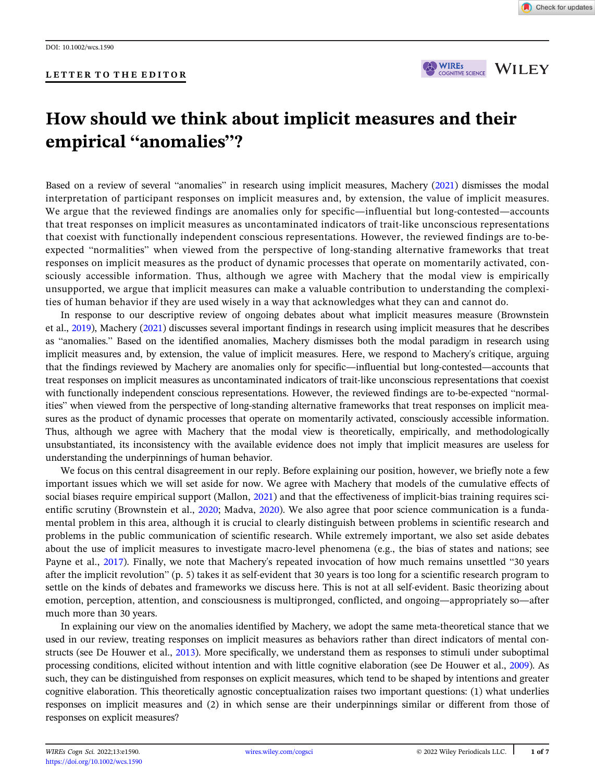



# How should we think about implicit measures and their empirical "anomalies"?

Based on a review of several "anomalies" in research using implicit measures, Machery ([2021](#page-5-0)) dismisses the modal interpretation of participant responses on implicit measures and, by extension, the value of implicit measures. We argue that the reviewed findings are anomalies only for specific—influential but long-contested—accounts that treat responses on implicit measures as uncontaminated indicators of trait-like unconscious representations that coexist with functionally independent conscious representations. However, the reviewed findings are to-beexpected "normalities" when viewed from the perspective of long-standing alternative frameworks that treat responses on implicit measures as the product of dynamic processes that operate on momentarily activated, consciously accessible information. Thus, although we agree with Machery that the modal view is empirically unsupported, we argue that implicit measures can make a valuable contribution to understanding the complexities of human behavior if they are used wisely in a way that acknowledges what they can and cannot do.

In response to our descriptive review of ongoing debates about what implicit measures measure (Brownstein et al., [2019](#page-4-0)), Machery [\(2021\)](#page-5-0) discusses several important findings in research using implicit measures that he describes as "anomalies." Based on the identified anomalies, Machery dismisses both the modal paradigm in research using implicit measures and, by extension, the value of implicit measures. Here, we respond to Machery's critique, arguing that the findings reviewed by Machery are anomalies only for specific—influential but long-contested—accounts that treat responses on implicit measures as uncontaminated indicators of trait-like unconscious representations that coexist with functionally independent conscious representations. However, the reviewed findings are to-be-expected "normalities" when viewed from the perspective of long-standing alternative frameworks that treat responses on implicit measures as the product of dynamic processes that operate on momentarily activated, consciously accessible information. Thus, although we agree with Machery that the modal view is theoretically, empirically, and methodologically unsubstantiated, its inconsistency with the available evidence does not imply that implicit measures are useless for understanding the underpinnings of human behavior.

We focus on this central disagreement in our reply. Before explaining our position, however, we briefly note a few important issues which we will set aside for now. We agree with Machery that models of the cumulative effects of social biases require empirical support (Mallon, [2021\)](#page-5-0) and that the effectiveness of implicit-bias training requires sci-entific scrutiny (Brownstein et al., [2020](#page-4-0); Madva, [2020\)](#page-5-0). We also agree that poor science communication is a fundamental problem in this area, although it is crucial to clearly distinguish between problems in scientific research and problems in the public communication of scientific research. While extremely important, we also set aside debates about the use of implicit measures to investigate macro-level phenomena (e.g., the bias of states and nations; see Payne et al., [2017\)](#page-5-0). Finally, we note that Machery's repeated invocation of how much remains unsettled "30 years after the implicit revolution" (p. 5) takes it as self-evident that 30 years is too long for a scientific research program to settle on the kinds of debates and frameworks we discuss here. This is not at all self-evident. Basic theorizing about emotion, perception, attention, and consciousness is multipronged, conflicted, and ongoing—appropriately so—after much more than 30 years.

In explaining our view on the anomalies identified by Machery, we adopt the same meta-theoretical stance that we used in our review, treating responses on implicit measures as behaviors rather than direct indicators of mental constructs (see De Houwer et al., [2013](#page-5-0)). More specifically, we understand them as responses to stimuli under suboptimal processing conditions, elicited without intention and with little cognitive elaboration (see De Houwer et al., [2009\)](#page-5-0). As such, they can be distinguished from responses on explicit measures, which tend to be shaped by intentions and greater cognitive elaboration. This theoretically agnostic conceptualization raises two important questions: (1) what underlies responses on implicit measures and (2) in which sense are their underpinnings similar or different from those of responses on explicit measures?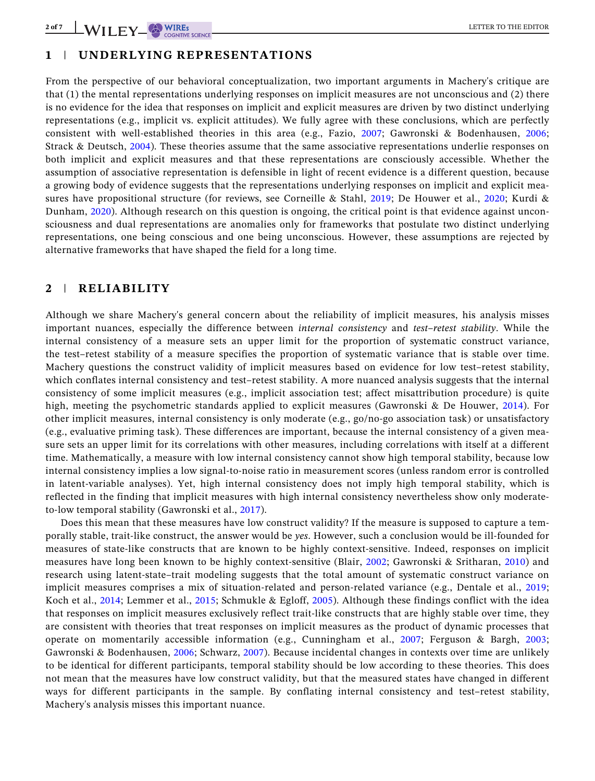## 1 | UNDERLYING REPRESENTATIONS

From the perspective of our behavioral conceptualization, two important arguments in Machery's critique are that (1) the mental representations underlying responses on implicit measures are not unconscious and (2) there is no evidence for the idea that responses on implicit and explicit measures are driven by two distinct underlying representations (e.g., implicit vs. explicit attitudes). We fully agree with these conclusions, which are perfectly consistent with well-established theories in this area (e.g., Fazio, [2007](#page-5-0); Gawronski & Bodenhausen, [2006](#page-5-0); Strack & Deutsch, [2004\)](#page-6-0). These theories assume that the same associative representations underlie responses on both implicit and explicit measures and that these representations are consciously accessible. Whether the assumption of associative representation is defensible in light of recent evidence is a different question, because a growing body of evidence suggests that the representations underlying responses on implicit and explicit measures have propositional structure (for reviews, see Corneille & Stahl, [2019;](#page-5-0) De Houwer et al., [2020;](#page-5-0) Kurdi & Dunham, [2020](#page-5-0)). Although research on this question is ongoing, the critical point is that evidence against unconsciousness and dual representations are anomalies only for frameworks that postulate two distinct underlying representations, one being conscious and one being unconscious. However, these assumptions are rejected by alternative frameworks that have shaped the field for a long time.

#### 2 | RELIABILITY

Although we share Machery's general concern about the reliability of implicit measures, his analysis misses important nuances, especially the difference between internal consistency and test–retest stability. While the internal consistency of a measure sets an upper limit for the proportion of systematic construct variance, the test–retest stability of a measure specifies the proportion of systematic variance that is stable over time. Machery questions the construct validity of implicit measures based on evidence for low test–retest stability, which conflates internal consistency and test–retest stability. A more nuanced analysis suggests that the internal consistency of some implicit measures (e.g., implicit association test; affect misattribution procedure) is quite high, meeting the psychometric standards applied to explicit measures (Gawronski & De Houwer, [2014\)](#page-5-0). For other implicit measures, internal consistency is only moderate (e.g., go/no-go association task) or unsatisfactory (e.g., evaluative priming task). These differences are important, because the internal consistency of a given measure sets an upper limit for its correlations with other measures, including correlations with itself at a different time. Mathematically, a measure with low internal consistency cannot show high temporal stability, because low internal consistency implies a low signal-to-noise ratio in measurement scores (unless random error is controlled in latent-variable analyses). Yet, high internal consistency does not imply high temporal stability, which is reflected in the finding that implicit measures with high internal consistency nevertheless show only moderateto-low temporal stability (Gawronski et al., [2017\)](#page-5-0).

Does this mean that these measures have low construct validity? If the measure is supposed to capture a temporally stable, trait-like construct, the answer would be yes. However, such a conclusion would be ill-founded for measures of state-like constructs that are known to be highly context-sensitive. Indeed, responses on implicit measures have long been known to be highly context-sensitive (Blair, [2002](#page-4-0); Gawronski & Sritharan, [2010](#page-5-0)) and research using latent-state–trait modeling suggests that the total amount of systematic construct variance on implicit measures comprises a mix of situation-related and person-related variance (e.g., Dentale et al., [2019](#page-5-0); Koch et al., [2014;](#page-5-0) Lemmer et al., [2015](#page-5-0); Schmukle & Egloff, [2005](#page-5-0)). Although these findings conflict with the idea that responses on implicit measures exclusively reflect trait-like constructs that are highly stable over time, they are consistent with theories that treat responses on implicit measures as the product of dynamic processes that operate on momentarily accessible information (e.g., Cunningham et al., [2007](#page-5-0); Ferguson & Bargh, [2003](#page-5-0); Gawronski & Bodenhausen, [2006;](#page-5-0) Schwarz, [2007](#page-5-0)). Because incidental changes in contexts over time are unlikely to be identical for different participants, temporal stability should be low according to these theories. This does not mean that the measures have low construct validity, but that the measured states have changed in different ways for different participants in the sample. By conflating internal consistency and test–retest stability, Machery's analysis misses this important nuance.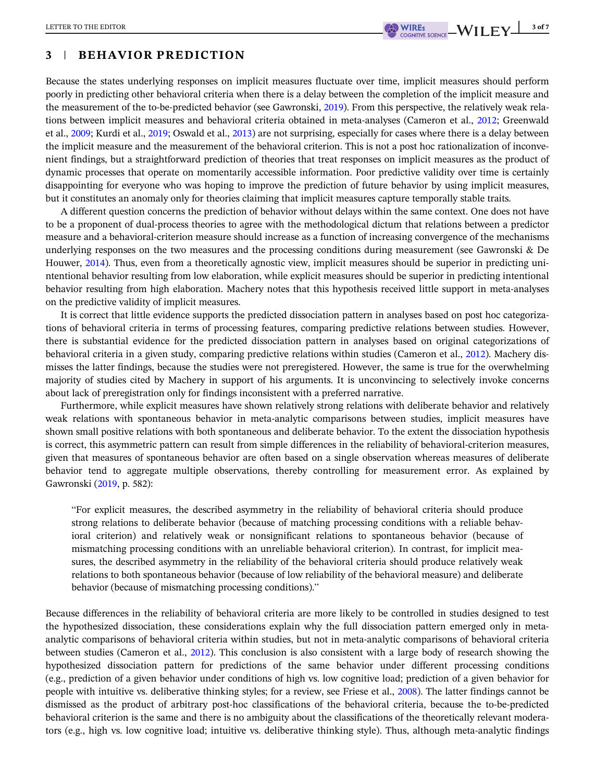### 3 | BEHAVIOR PREDICTION

Because the states underlying responses on implicit measures fluctuate over time, implicit measures should perform poorly in predicting other behavioral criteria when there is a delay between the completion of the implicit measure and the measurement of the to-be-predicted behavior (see Gawronski, [2019\)](#page-5-0). From this perspective, the relatively weak relations between implicit measures and behavioral criteria obtained in meta-analyses (Cameron et al., [2012](#page-4-0); Greenwald et al., [2009;](#page-5-0) Kurdi et al., [2019;](#page-5-0) Oswald et al., [2013](#page-5-0)) are not surprising, especially for cases where there is a delay between the implicit measure and the measurement of the behavioral criterion. This is not a post hoc rationalization of inconvenient findings, but a straightforward prediction of theories that treat responses on implicit measures as the product of dynamic processes that operate on momentarily accessible information. Poor predictive validity over time is certainly disappointing for everyone who was hoping to improve the prediction of future behavior by using implicit measures, but it constitutes an anomaly only for theories claiming that implicit measures capture temporally stable traits.

A different question concerns the prediction of behavior without delays within the same context. One does not have to be a proponent of dual-process theories to agree with the methodological dictum that relations between a predictor measure and a behavioral-criterion measure should increase as a function of increasing convergence of the mechanisms underlying responses on the two measures and the processing conditions during measurement (see Gawronski & De Houwer, [2014](#page-5-0)). Thus, even from a theoretically agnostic view, implicit measures should be superior in predicting unintentional behavior resulting from low elaboration, while explicit measures should be superior in predicting intentional behavior resulting from high elaboration. Machery notes that this hypothesis received little support in meta-analyses on the predictive validity of implicit measures.

It is correct that little evidence supports the predicted dissociation pattern in analyses based on post hoc categorizations of behavioral criteria in terms of processing features, comparing predictive relations between studies. However, there is substantial evidence for the predicted dissociation pattern in analyses based on original categorizations of behavioral criteria in a given study, comparing predictive relations within studies (Cameron et al., [2012\)](#page-4-0). Machery dismisses the latter findings, because the studies were not preregistered. However, the same is true for the overwhelming majority of studies cited by Machery in support of his arguments. It is unconvincing to selectively invoke concerns about lack of preregistration only for findings inconsistent with a preferred narrative.

Furthermore, while explicit measures have shown relatively strong relations with deliberate behavior and relatively weak relations with spontaneous behavior in meta-analytic comparisons between studies, implicit measures have shown small positive relations with both spontaneous and deliberate behavior. To the extent the dissociation hypothesis is correct, this asymmetric pattern can result from simple differences in the reliability of behavioral-criterion measures, given that measures of spontaneous behavior are often based on a single observation whereas measures of deliberate behavior tend to aggregate multiple observations, thereby controlling for measurement error. As explained by Gawronski ([2019](#page-5-0), p. 582):

"For explicit measures, the described asymmetry in the reliability of behavioral criteria should produce strong relations to deliberate behavior (because of matching processing conditions with a reliable behavioral criterion) and relatively weak or nonsignificant relations to spontaneous behavior (because of mismatching processing conditions with an unreliable behavioral criterion). In contrast, for implicit measures, the described asymmetry in the reliability of the behavioral criteria should produce relatively weak relations to both spontaneous behavior (because of low reliability of the behavioral measure) and deliberate behavior (because of mismatching processing conditions)."

Because differences in the reliability of behavioral criteria are more likely to be controlled in studies designed to test the hypothesized dissociation, these considerations explain why the full dissociation pattern emerged only in metaanalytic comparisons of behavioral criteria within studies, but not in meta-analytic comparisons of behavioral criteria between studies (Cameron et al., [2012](#page-4-0)). This conclusion is also consistent with a large body of research showing the hypothesized dissociation pattern for predictions of the same behavior under different processing conditions (e.g., prediction of a given behavior under conditions of high vs. low cognitive load; prediction of a given behavior for people with intuitive vs. deliberative thinking styles; for a review, see Friese et al., [2008\)](#page-5-0). The latter findings cannot be dismissed as the product of arbitrary post-hoc classifications of the behavioral criteria, because the to-be-predicted behavioral criterion is the same and there is no ambiguity about the classifications of the theoretically relevant moderators (e.g., high vs. low cognitive load; intuitive vs. deliberative thinking style). Thus, although meta-analytic findings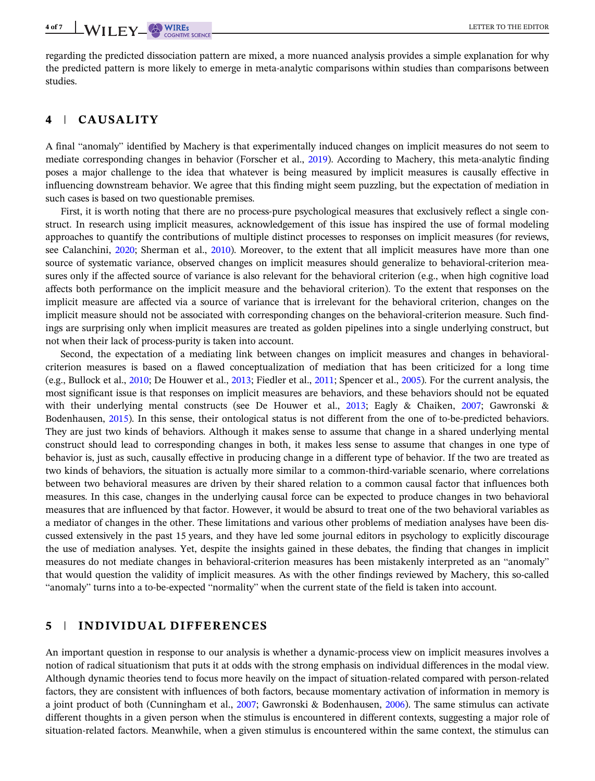regarding the predicted dissociation pattern are mixed, a more nuanced analysis provides a simple explanation for why the predicted pattern is more likely to emerge in meta-analytic comparisons within studies than comparisons between studies.

#### 4 | CAUSALITY

A final "anomaly" identified by Machery is that experimentally induced changes on implicit measures do not seem to mediate corresponding changes in behavior (Forscher et al., [2019](#page-5-0)). According to Machery, this meta-analytic finding poses a major challenge to the idea that whatever is being measured by implicit measures is causally effective in influencing downstream behavior. We agree that this finding might seem puzzling, but the expectation of mediation in such cases is based on two questionable premises.

First, it is worth noting that there are no process-pure psychological measures that exclusively reflect a single construct. In research using implicit measures, acknowledgement of this issue has inspired the use of formal modeling approaches to quantify the contributions of multiple distinct processes to responses on implicit measures (for reviews, see Calanchini, [2020;](#page-4-0) Sherman et al., [2010\)](#page-6-0). Moreover, to the extent that all implicit measures have more than one source of systematic variance, observed changes on implicit measures should generalize to behavioral-criterion measures only if the affected source of variance is also relevant for the behavioral criterion (e.g., when high cognitive load affects both performance on the implicit measure and the behavioral criterion). To the extent that responses on the implicit measure are affected via a source of variance that is irrelevant for the behavioral criterion, changes on the implicit measure should not be associated with corresponding changes on the behavioral-criterion measure. Such findings are surprising only when implicit measures are treated as golden pipelines into a single underlying construct, but not when their lack of process-purity is taken into account.

Second, the expectation of a mediating link between changes on implicit measures and changes in behavioralcriterion measures is based on a flawed conceptualization of mediation that has been criticized for a long time (e.g., Bullock et al., [2010;](#page-4-0) De Houwer et al., [2013](#page-5-0); Fiedler et al., [2011;](#page-5-0) Spencer et al., [2005](#page-6-0)). For the current analysis, the most significant issue is that responses on implicit measures are behaviors, and these behaviors should not be equated with their underlying mental constructs (see De Houwer et al., [2013](#page-5-0); Eagly & Chaiken, [2007](#page-5-0); Gawronski & Bodenhausen, [2015\)](#page-5-0). In this sense, their ontological status is not different from the one of to-be-predicted behaviors. They are just two kinds of behaviors. Although it makes sense to assume that change in a shared underlying mental construct should lead to corresponding changes in both, it makes less sense to assume that changes in one type of behavior is, just as such, causally effective in producing change in a different type of behavior. If the two are treated as two kinds of behaviors, the situation is actually more similar to a common-third-variable scenario, where correlations between two behavioral measures are driven by their shared relation to a common causal factor that influences both measures. In this case, changes in the underlying causal force can be expected to produce changes in two behavioral measures that are influenced by that factor. However, it would be absurd to treat one of the two behavioral variables as a mediator of changes in the other. These limitations and various other problems of mediation analyses have been discussed extensively in the past 15 years, and they have led some journal editors in psychology to explicitly discourage the use of mediation analyses. Yet, despite the insights gained in these debates, the finding that changes in implicit measures do not mediate changes in behavioral-criterion measures has been mistakenly interpreted as an "anomaly" that would question the validity of implicit measures. As with the other findings reviewed by Machery, this so-called "anomaly" turns into a to-be-expected "normality" when the current state of the field is taken into account.

#### 5 | INDIVIDUAL DIFFERENCES

An important question in response to our analysis is whether a dynamic-process view on implicit measures involves a notion of radical situationism that puts it at odds with the strong emphasis on individual differences in the modal view. Although dynamic theories tend to focus more heavily on the impact of situation-related compared with person-related factors, they are consistent with influences of both factors, because momentary activation of information in memory is a joint product of both (Cunningham et al., [2007](#page-5-0); Gawronski & Bodenhausen, [2006](#page-5-0)). The same stimulus can activate different thoughts in a given person when the stimulus is encountered in different contexts, suggesting a major role of situation-related factors. Meanwhile, when a given stimulus is encountered within the same context, the stimulus can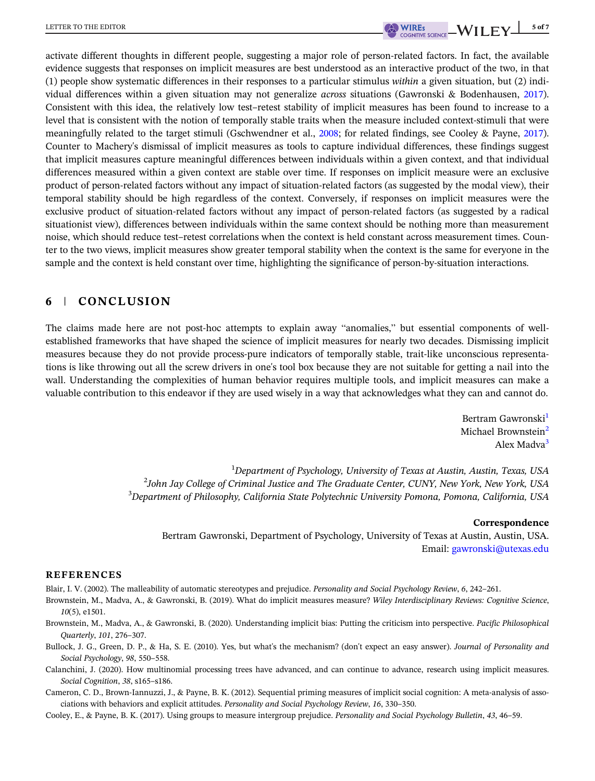<span id="page-4-0"></span>activate different thoughts in different people, suggesting a major role of person-related factors. In fact, the available evidence suggests that responses on implicit measures are best understood as an interactive product of the two, in that (1) people show systematic differences in their responses to a particular stimulus within a given situation, but (2) indi-vidual differences within a given situation may not generalize across situations (Gawronski & Bodenhausen, [2017\)](#page-5-0). Consistent with this idea, the relatively low test–retest stability of implicit measures has been found to increase to a level that is consistent with the notion of temporally stable traits when the measure included context-stimuli that were meaningfully related to the target stimuli (Gschwendner et al., [2008;](#page-5-0) for related findings, see Cooley & Payne, 2017). Counter to Machery's dismissal of implicit measures as tools to capture individual differences, these findings suggest that implicit measures capture meaningful differences between individuals within a given context, and that individual differences measured within a given context are stable over time. If responses on implicit measure were an exclusive product of person-related factors without any impact of situation-related factors (as suggested by the modal view), their temporal stability should be high regardless of the context. Conversely, if responses on implicit measures were the exclusive product of situation-related factors without any impact of person-related factors (as suggested by a radical situationist view), differences between individuals within the same context should be nothing more than measurement noise, which should reduce test–retest correlations when the context is held constant across measurement times. Counter to the two views, implicit measures show greater temporal stability when the context is the same for everyone in the sample and the context is held constant over time, highlighting the significance of person-by-situation interactions.

#### 6 | CONCLUSION

The claims made here are not post-hoc attempts to explain away "anomalies," but essential components of wellestablished frameworks that have shaped the science of implicit measures for nearly two decades. Dismissing implicit measures because they do not provide process-pure indicators of temporally stable, trait-like unconscious representations is like throwing out all the screw drivers in one's tool box because they are not suitable for getting a nail into the wall. Understanding the complexities of human behavior requires multiple tools, and implicit measures can make a valuable contribution to this endeavor if they are used wisely in a way that acknowledges what they can and cannot do.

> Bertram Gawronski<sup>1</sup> Michael Brownstein<sup>2</sup> Alex Madva<sup>3</sup>

 $^1$ Department of Psychology, University of Texas at Austin, Austin, Texas, USA  $^2$ John Jay College of Criminal Justice and The Graduate Center, CUNY, New York, New York, USA  $^3$ Department of Philosophy, California State Polytechnic University Pomona, Pomona, California, USA

#### Correspondence

Bertram Gawronski, Department of Psychology, University of Texas at Austin, Austin, USA. Email: [gawronski@utexas.edu](mailto:gawronski@utexas.edu)

#### REFERENCES

Blair, I. V. (2002). The malleability of automatic stereotypes and prejudice. Personality and Social Psychology Review, 6, 242–261.

- Brownstein, M., Madva, A., & Gawronski, B. (2019). What do implicit measures measure? Wiley Interdisciplinary Reviews: Cognitive Science, 10(5), e1501.
- Brownstein, M., Madva, A., & Gawronski, B. (2020). Understanding implicit bias: Putting the criticism into perspective. Pacific Philosophical Quarterly, 101, 276–307.
- Bullock, J. G., Green, D. P., & Ha, S. E. (2010). Yes, but what's the mechanism? (don't expect an easy answer). Journal of Personality and Social Psychology, 98, 550–558.
- Calanchini, J. (2020). How multinomial processing trees have advanced, and can continue to advance, research using implicit measures. Social Cognition, 38, s165–s186.
- Cameron, C. D., Brown-Iannuzzi, J., & Payne, B. K. (2012). Sequential priming measures of implicit social cognition: A meta-analysis of associations with behaviors and explicit attitudes. Personality and Social Psychology Review, 16, 330–350.

Cooley, E., & Payne, B. K. (2017). Using groups to measure intergroup prejudice. Personality and Social Psychology Bulletin, 43, 46–59.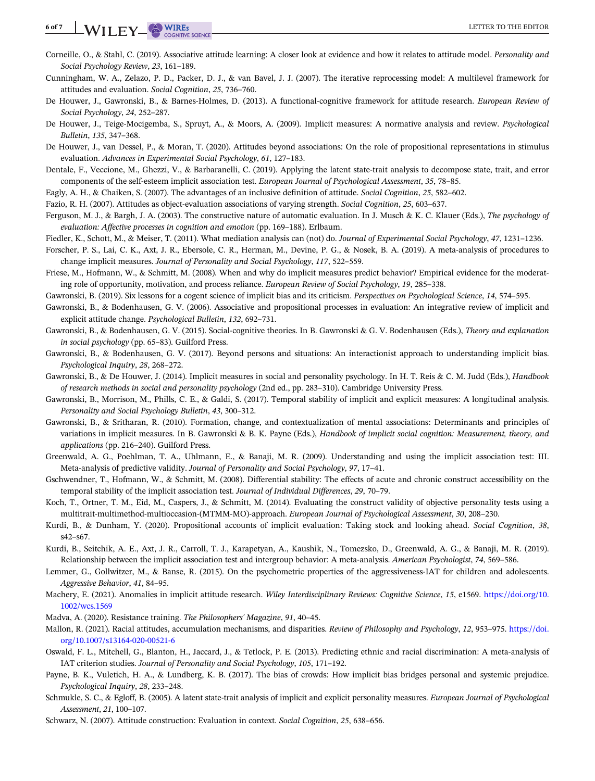## <span id="page-5-0"></span>6 of 7 WILEY WIRES LETTER TO THE EDITOR

- Corneille, O., & Stahl, C. (2019). Associative attitude learning: A closer look at evidence and how it relates to attitude model. Personality and Social Psychology Review, 23, 161–189.
- Cunningham, W. A., Zelazo, P. D., Packer, D. J., & van Bavel, J. J. (2007). The iterative reprocessing model: A multilevel framework for attitudes and evaluation. Social Cognition, 25, 736–760.
- De Houwer, J., Gawronski, B., & Barnes-Holmes, D. (2013). A functional-cognitive framework for attitude research. European Review of Social Psychology, 24, 252–287.
- De Houwer, J., Teige-Mocigemba, S., Spruyt, A., & Moors, A. (2009). Implicit measures: A normative analysis and review. Psychological Bulletin, 135, 347–368.
- De Houwer, J., van Dessel, P., & Moran, T. (2020). Attitudes beyond associations: On the role of propositional representations in stimulus evaluation. Advances in Experimental Social Psychology, 61, 127–183.
- Dentale, F., Veccione, M., Ghezzi, V., & Barbaranelli, C. (2019). Applying the latent state-trait analysis to decompose state, trait, and error components of the self-esteem implicit association test. European Journal of Psychological Assessment, 35, 78–85.
- Eagly, A. H., & Chaiken, S. (2007). The advantages of an inclusive definition of attitude. Social Cognition, 25, 582–602.
- Fazio, R. H. (2007). Attitudes as object-evaluation associations of varying strength. Social Cognition, 25, 603–637.
- Ferguson, M. J., & Bargh, J. A. (2003). The constructive nature of automatic evaluation. In J. Musch & K. C. Klauer (Eds.), The psychology of evaluation: Affective processes in cognition and emotion (pp. 169–188). Erlbaum.
- Fiedler, K., Schott, M., & Meiser, T. (2011). What mediation analysis can (not) do. Journal of Experimental Social Psychology, 47, 1231–1236.
- Forscher, P. S., Lai, C. K., Axt, J. R., Ebersole, C. R., Herman, M., Devine, P. G., & Nosek, B. A. (2019). A meta-analysis of procedures to change implicit measures. Journal of Personality and Social Psychology, 117, 522–559.
- Friese, M., Hofmann, W., & Schmitt, M. (2008). When and why do implicit measures predict behavior? Empirical evidence for the moderating role of opportunity, motivation, and process reliance. European Review of Social Psychology, 19, 285–338.
- Gawronski, B. (2019). Six lessons for a cogent science of implicit bias and its criticism. Perspectives on Psychological Science, 14, 574–595.
- Gawronski, B., & Bodenhausen, G. V. (2006). Associative and propositional processes in evaluation: An integrative review of implicit and explicit attitude change. Psychological Bulletin, 132, 692–731.
- Gawronski, B., & Bodenhausen, G. V. (2015). Social-cognitive theories. In B. Gawronski & G. V. Bodenhausen (Eds.), Theory and explanation in social psychology (pp. 65–83). Guilford Press.
- Gawronski, B., & Bodenhausen, G. V. (2017). Beyond persons and situations: An interactionist approach to understanding implicit bias. Psychological Inquiry, 28, 268–272.
- Gawronski, B., & De Houwer, J. (2014). Implicit measures in social and personality psychology. In H. T. Reis & C. M. Judd (Eds.), *Handbook* of research methods in social and personality psychology (2nd ed., pp. 283–310). Cambridge University Press.
- Gawronski, B., Morrison, M., Phills, C. E., & Galdi, S. (2017). Temporal stability of implicit and explicit measures: A longitudinal analysis. Personality and Social Psychology Bulletin, 43, 300–312.
- Gawronski, B., & Sritharan, R. (2010). Formation, change, and contextualization of mental associations: Determinants and principles of variations in implicit measures. In B. Gawronski & B. K. Payne (Eds.), Handbook of implicit social cognition: Measurement, theory, and applications (pp. 216–240). Guilford Press.
- Greenwald, A. G., Poehlman, T. A., Uhlmann, E., & Banaji, M. R. (2009). Understanding and using the implicit association test: III. Meta-analysis of predictive validity. Journal of Personality and Social Psychology, 97, 17–41.
- Gschwendner, T., Hofmann, W., & Schmitt, M. (2008). Differential stability: The effects of acute and chronic construct accessibility on the temporal stability of the implicit association test. Journal of Individual Differences, 29, 70–79.
- Koch, T., Ortner, T. M., Eid, M., Caspers, J., & Schmitt, M. (2014). Evaluating the construct validity of objective personality tests using a multitrait-multimethod-multioccasion-(MTMM-MO)-approach. European Journal of Psychological Assessment, 30, 208–230.
- Kurdi, B., & Dunham, Y. (2020). Propositional accounts of implicit evaluation: Taking stock and looking ahead. Social Cognition, 38, s42–s67.
- Kurdi, B., Seitchik, A. E., Axt, J. R., Carroll, T. J., Karapetyan, A., Kaushik, N., Tomezsko, D., Greenwald, A. G., & Banaji, M. R. (2019). Relationship between the implicit association test and intergroup behavior: A meta-analysis. American Psychologist, 74, 569–586.
- Lemmer, G., Gollwitzer, M., & Banse, R. (2015). On the psychometric properties of the aggressiveness-IAT for children and adolescents. Aggressive Behavior, 41, 84–95.
- Machery, E. (2021). Anomalies in implicit attitude research. Wiley Interdisciplinary Reviews: Cognitive Science, 15, e1569. [https://doi.org/10.](https://doi.org/10.1002/wcs.1569) [1002/wcs.1569](https://doi.org/10.1002/wcs.1569)
- Madva, A. (2020). Resistance training. The Philosophers' Magazine, 91, 40–45.
- Mallon, R. (2021). Racial attitudes, accumulation mechanisms, and disparities. Review of Philosophy and Psychology, 12, 953–975. [https://doi.](https://doi.org/10.1007/s13164-020-00521-6) [org/10.1007/s13164-020-00521-6](https://doi.org/10.1007/s13164-020-00521-6)
- Oswald, F. L., Mitchell, G., Blanton, H., Jaccard, J., & Tetlock, P. E. (2013). Predicting ethnic and racial discrimination: A meta-analysis of IAT criterion studies. Journal of Personality and Social Psychology, 105, 171–192.
- Payne, B. K., Vuletich, H. A., & Lundberg, K. B. (2017). The bias of crowds: How implicit bias bridges personal and systemic prejudice. Psychological Inquiry, 28, 233–248.
- Schmukle, S. C., & Egloff, B. (2005). A latent state-trait analysis of implicit and explicit personality measures. European Journal of Psychological Assessment, 21, 100–107.
- Schwarz, N. (2007). Attitude construction: Evaluation in context. Social Cognition, 25, 638–656.